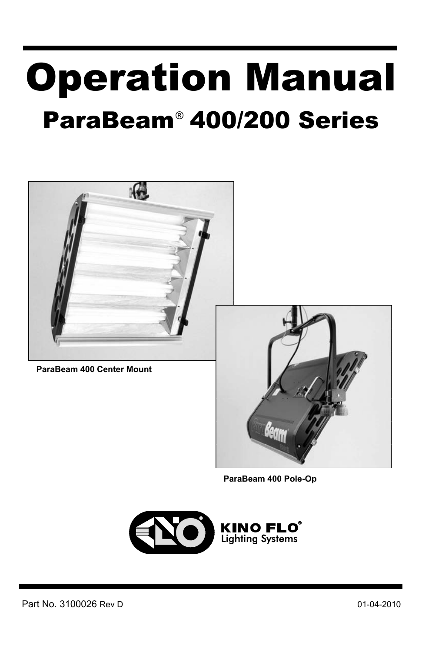# Operation Manual ParaBeam<sup>®</sup> 400/200 Series



**ParaBeam 400 Center Mount**



**ParaBeam 400 Pole-Op** 

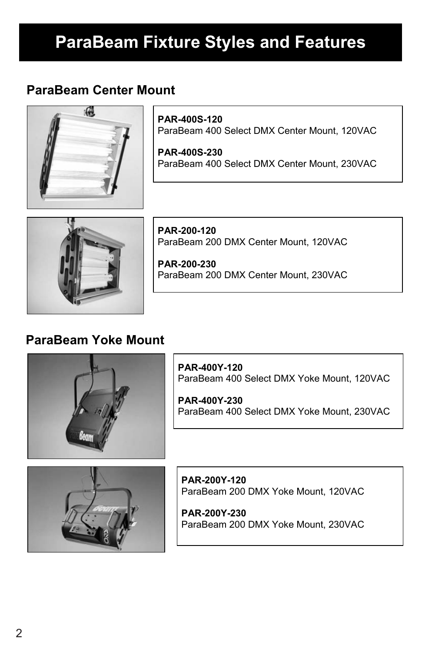# **ParaBeam Fixture Styles and Features**

### **ParaBeam Center Mount**



x

**PAR-400S-120** ParaBeam 400 Select DMX Center Mount, 120VAC

**PAR-400S-230**  ParaBeam 400 Select DMX Center Mount, 230VAC



**PAR-200-120** ParaBeam 200 DMX Center Mount, 120VAC

**PAR-200-230**  ParaBeam 200 DMX Center Mount, 230VAC

### **ParaBeam Yoke Mount**



**PAR-400Y-120** ParaBeam 400 Select DMX Yoke Mount, 120VAC

**PAR-400Y-230**  ParaBeam 400 Select DMX Yoke Mount, 230VAC



**PAR-200Y-120**  ParaBeam 200 DMX Yoke Mount, 120VAC

**PAR-200Y-230**  ParaBeam 200 DMX Yoke Mount, 230VAC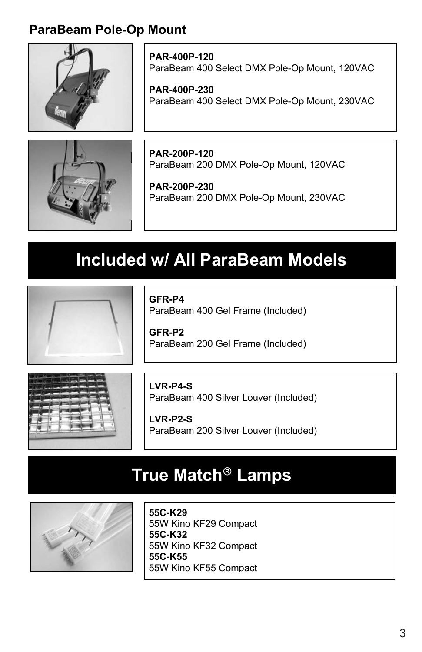### **ParaBeam Pole-Op Mount**



**PAR-400P-120** ParaBeam 400 Select DMX Pole-Op Mount, 120VAC

**PAR-400P-230**  ParaBeam 400 Select DMX Pole-Op Mount, 230VAC



**PAR-200P-120** ParaBeam 200 DMX Pole-Op Mount, 120VAC

**PAR-200P-230**  ParaBeam 200 DMX Pole-Op Mount, 230VAC

### **Included w/ All ParaBeam Models**



**GFR-P4**

ParaBeam 400 Gel Frame (Included)

**GFR-P2** ParaBeam 200 Gel Frame (Included)



**LVR-P4-S** ParaBeam 400 Silver Louver (Included)

**LVR-P2-S** ParaBeam 200 Silver Louver (Included)

### **True Match Lamps ®**



**55C-K29** 55W Kino KF29 Compact **55C-K32**  55W Kino KF32 Compact **55C-K55**  55W Kino KF55 Compact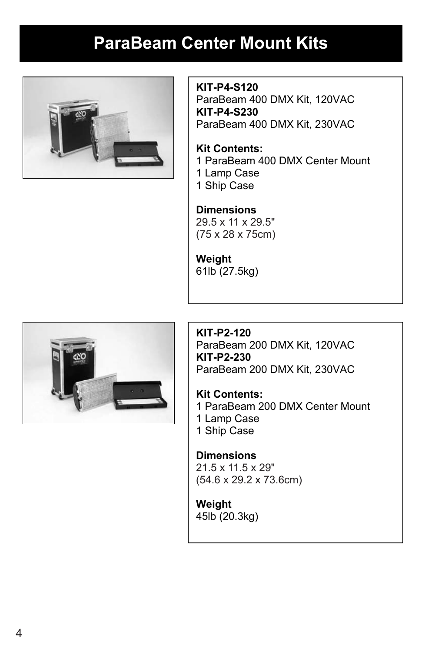## **ParaBeam Center Mount Kits**



**KIT-P4-S120** ParaBeam 400 DMX Kit, 120VAC **KIT-P4-S230** ParaBeam 400 DMX Kit, 230VAC

**Kit Contents:**  1 ParaBeam 400 DMX Center Mount 1 Lamp Case 1 Ship Case

**Dimensions**  30 x 12.5 x 30.5" 29.5 x 11 x 29.5" (75 x 28 x 75cm)

**Weight** 61lb (27.5kg)



**KIT-P2-120** ParaBeam 200 DMX Kit, 120VAC **KIT-P2-230** ParaBeam 200 DMX Kit, 230VAC

**Kit Contents:**  1 ParaBeam 200 DMX Center Mount 1 Lamp Case 1 Ship Case

**Dimensions**  21.5 x 11.5 x 29" (90 x 30.5 x 58.5cm) (54.6 x 29.2 x 73.6cm)

**Weight** 45lb (20.3kg)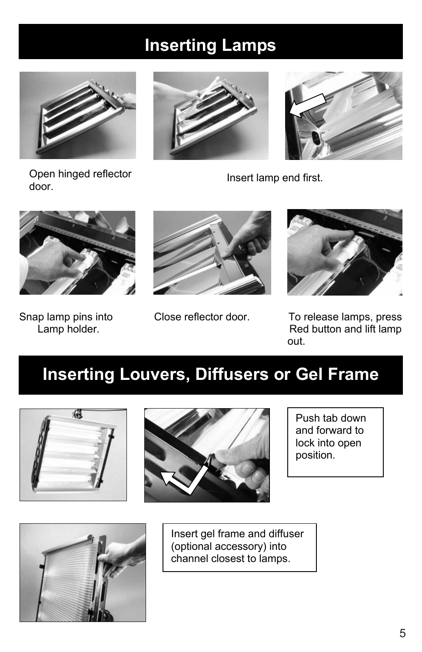# **Inserting Lamps**



Open hinged reflector Open hinged reflector entitled as a lineart lamp end first.<br>door.











Snap lamp pins into Close reflector door. To release lamps, press<br>Lamp holder. Close reflector door. Red button and lift lamp Red button and lift lamp out.

# **Inserting Louvers, Diffusers or Gel Frame**





Push tab down and forward to lock into open position.



Insert gel frame and diffuser (optional accessory) into channel closest to lamps.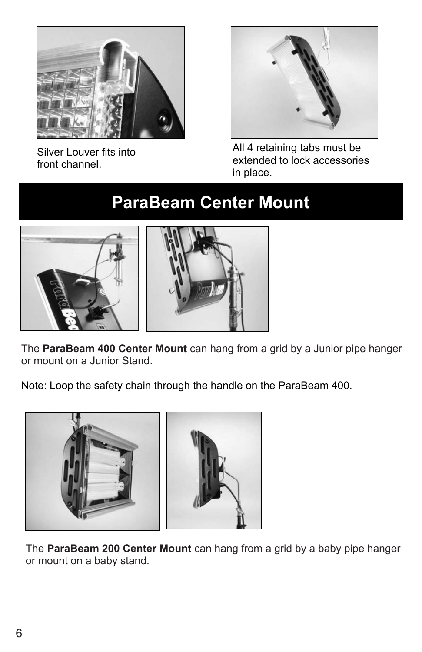

Silver Louver fits into front channel.



All 4 retaining tabs must be extended to lock accessories in place.

# **ParaBeam Center Mount**



The ParaBeam 400 Center Mount can hang from a grid by a Junior pipe hanger or mount on a Junior Stand.

Note: Loop the safety chain through the handle on the ParaBeam 400.



The **ParaBeam 200 Center Mount** can hang from a grid by a baby pipe hanger or mount on a baby stand.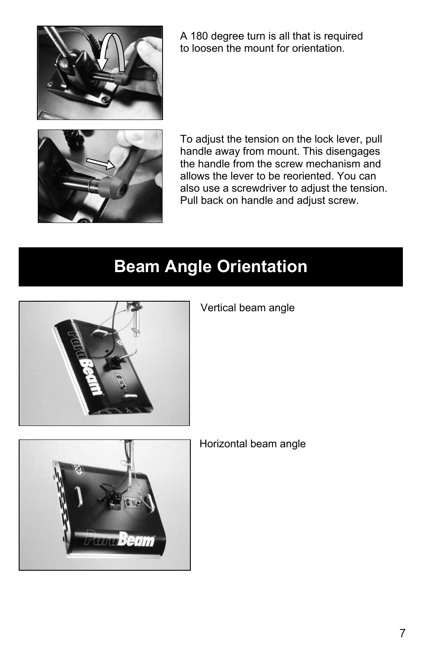

A 180 degree turn is all that is required to loosen the mount for orientation.



To adjust the tension on the lock lever, pull handle away from mount. This disengages the handle from the screw mechanism and allows the lever to be reoriented. You can also use a screwdriver to adjust the tension. Pull back on handle and adjust screw.

# **Beam Angle Orientation**



Vertical beam angle



Horizontal beam angle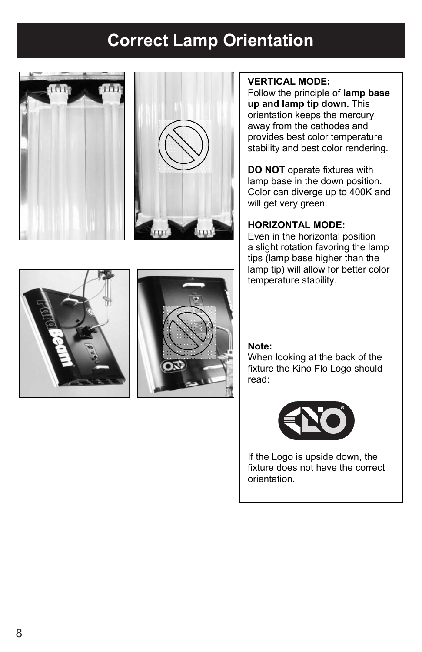# **Correct Lamp Orientation Correct Lamp Orientation**





#### **VERTICAL MODE:**

Follow the principle of **lamp base up and lamp tip down.** This orientation keeps the mercury away from the cathodes and provides best color temperature stability and best color rendering.

**DO NOT** operate fixtures with lamp base in the down position. Color can diverge up to 400K and will get very green.

#### **HORIZONTAL MODE:**

Even in the horizontal position a slight rotation favoring the lamp tips (lamp base higher than the lamp tip) will allow for better color temperature stability.

#### **Note:**

When looking at the back of the fixture the Kino Flo Logo should read:



If the Logo is upside down, the fixture does not have the correct orientation.



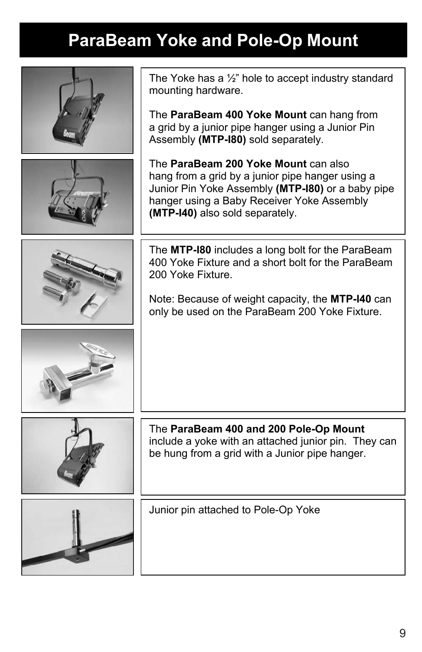# **ParaBeam Yoke and Pole-Op Mount**

| The Yoke has a $\frac{1}{2}$ " hole to accept industry standard<br>mounting hardware.                                                                                                                                          |
|--------------------------------------------------------------------------------------------------------------------------------------------------------------------------------------------------------------------------------|
| The ParaBeam 400 Yoke Mount can hang from<br>a grid by a junior pipe hanger using a Junior Pin<br>Assembly (MTP-180) sold separately.                                                                                          |
| The ParaBeam 200 Yoke Mount can also<br>hang from a grid by a junior pipe hanger using a<br>Junior Pin Yoke Assembly (MTP-180) or a baby pipe<br>hanger using a Baby Receiver Yoke Assembly<br>(MTP-I40) also sold separately. |
| The MTP-180 includes a long bolt for the ParaBeam<br>400 Yoke Fixture and a short bolt for the ParaBeam<br>200 Yoke Fixture.                                                                                                   |
| Note: Because of weight capacity, the MTP-I40 can<br>only be used on the ParaBeam 200 Yoke Fixture.                                                                                                                            |
|                                                                                                                                                                                                                                |
| The ParaBeam 400 and 200 Pole-Op Mount<br>include a yoke with an attached junior pin. They can<br>be hung from a grid with a Junior pipe hanger.                                                                               |
| Junior pin attached to Pole-Op Yoke                                                                                                                                                                                            |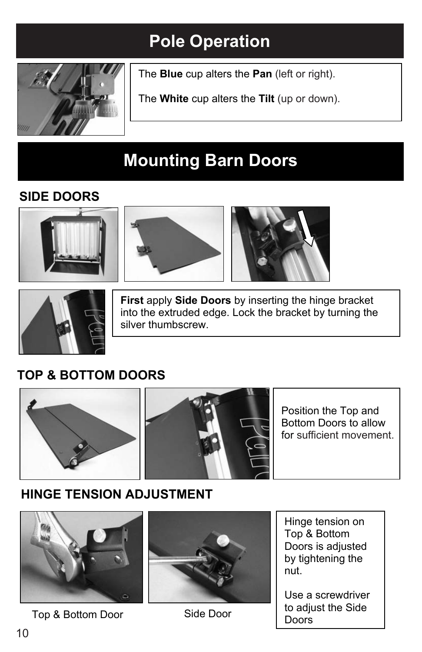# **Pole Operation Pole Operation**



The **Blue** cup alters the Pan (left or right).

The **White** cup alters the Tilt (up or down).

# **Mounting Barn Doors**

### **SIDE DOORS**







**First** apply **Side Doors** by inserting the hinge bracket into the extruded edge. Lock the bracket by turning the silver thumbscrew.

### **TOP & BOTTOM DOORS**



### **HINGE TENSION ADJUSTMENT**



Top & Bottom Door Side Door



Hinge tension on Top & Bottom Doors is adjusted by tightening the nut.

Use a screwdriver to adjust the Side Doors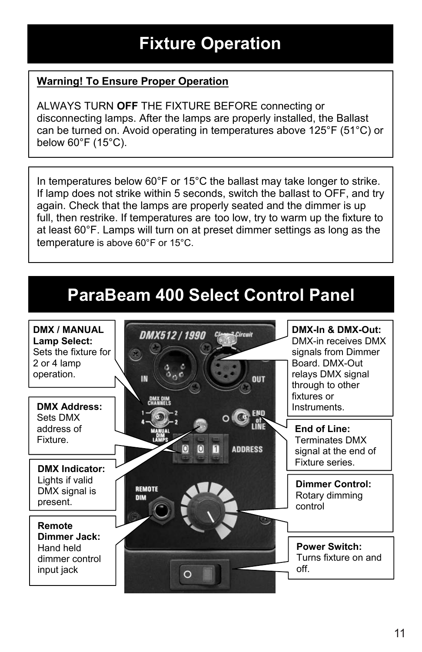# **Fixture Operation**

### **Warning! To Ensure Proper Operation**

ALWAYS TURN **OFF** THE FIXTURE BEFORE connecting or disconnecting lamps. After the lamps are properly installed, the Ballast can be turned on. Avoid operating in temperatures above 125°F (51°C) or below 60°F (15°C).

In temperatures below 60°F or 15°C the ballast may take longer to strike. If lamp does not strike within 5 seconds, switch the ballast to OFF, and try again. Check that the lamps are properly seated and the dimmer is up full, then restrike. If temperatures are too low, try to warm up the fixture to at least 60°F. Lamps will turn on at preset dimmer settings as long as the temperature is above 60°F or 15°C.

### **ParaBeam 400 Select Control Panel**

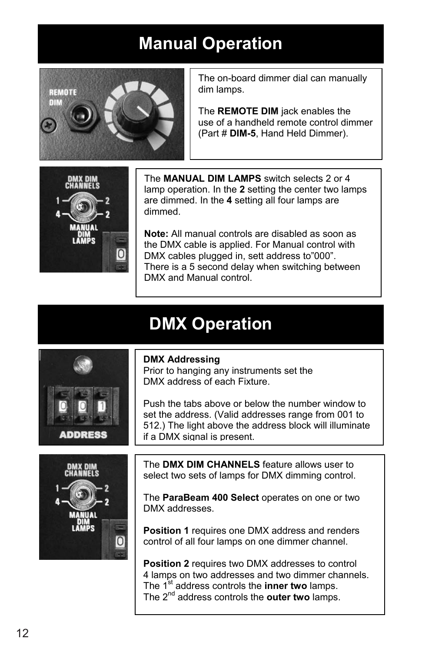# **Manual Operation**



The on-board dimmer dial can manually dim lamps.

The **REMOTE DIM** jack enables the use of a handheld remote control dimmer (Part # **DIM-5**, Hand Held Dimmer).



The **MANUAL DIM LAMPS** switch selects 2 or 4 lamp operation. In the **2** setting the center two lamps are dimmed. In the **4** setting all four lamps are dimmed.

**Note:** All manual controls are disabled as soon as the DMX cable is applied. For Manual control with DMX cables plugged in, sett address to"000". There is a 5 second delay when switching between DMX and Manual control.

## **DMX Operation**



Prior to hanging any instruments set the DMX address of each Fixture.

Push the tabs above or below the number window to set the address. (Valid addresses range from 001 to 512.) The light above the address block will illuminate if a DMX signal is present.



**ADDRESS** 

The **DMX DIM CHANNELS** feature allows user to select two sets of lamps for DMX dimming control.

The **ParaBeam 400 Select** operates on one or two DMX addresses.

**Position 1** requires one DMX address and renders control of all four lamps on one dimmer channel.

**Position 2** requires two DMX addresses to control 4 lamps on two addresses and two dimmer channels. The 1<sup>st</sup> address controls the **inner two** lamps. The 2nd address controls the **outer two** lamps.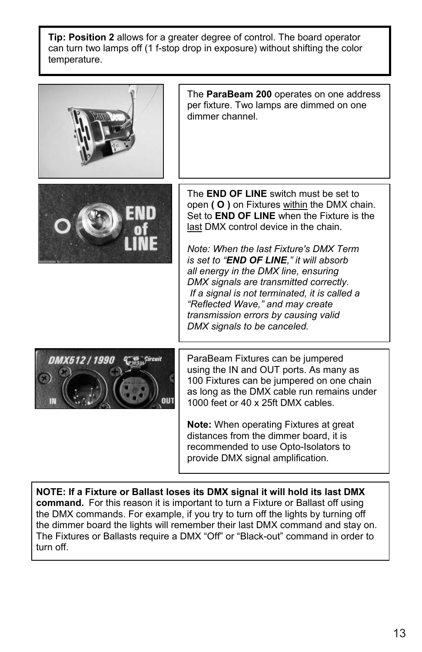**Tip: Position 2** allows for a greater degree of control. The board operator can turn two lamps off (1 f-stop drop in exposure) without shifting the color temperature.



The **ParaBeam 200** operates on one address per fixture. Two lamps are dimmed on one dimmer channel.



The **END OF LINE** switch must be set to open **( O )** on Fixtures within the DMX chain. Set to **END OF LINE** when the Fixture is the last DMX control device in the chain.

*Note: When the last Fixture's DMX Term is set to "END OF LINE," it will absorb all energy in the DMX line, ensuring DMX signals are transmitted correctly. If a signal is not terminated, it is called a "Reflected Wave," and may create transmission errors by causing valid DMX signals to be canceled.*



ParaBeam Fixtures can be jumpered using the IN and OUT ports. As many as 100 Fixtures can be jumpered on one chain as long as the DMX cable run remains under 1000 feet or 40 x 25ft DMX cables.

**Note:** When operating Fixtures at great distances from the dimmer board, it is recommended to use Opto-Isolators to provide DMX signal amplification.

**NOTE: If a Fixture or Ballast loses its DMX signal it will hold its last DMX command.** For this reason it is important to turn a Fixture or Ballast off using the DMX commands. For example, if you try to turn off the lights by turning off the dimmer board the lights will remember their last DMX command and stay on. The Fixtures or Ballasts require a DMX "Off" or "Black-out" command in order to turn off.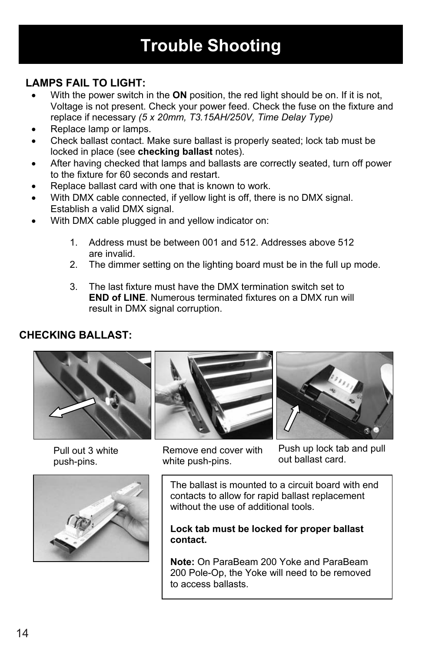# **Trouble Shooting Trouble Shooting**

### **LAMPS FAIL TO LIGHT: LAMPS FAIL TO LIGHT:**

- With the power switch in the **ON** position, the red light should be on. If it is not, Voltage is not present. Check your power feed. Check the fuse on the fixture and Voltage is not present. Check your power feed. Check the fuse on the fixture and replace if necessary *(5 x 20mm, T3.15AH/250V, Time Delay Type)* replace if necessary *(5 x 20mm, T3.15AH/250V, Time Delay Type)*
- Replace lamp or lamps.
- Check ballast contact. Make sure ballast is properly seated; lock tab must be locked in place (see **checking ballast** notes). locked in place (see **checking ballast** notes).
- After having checked that lamps and ballasts are correctly seated, turn off power to the fixture for 60 seconds and restart. to the fixture for 60 seconds and restart.
- Replace ballast card with one that is known to work.
- With DMX cable connected, if yellow light is off, there is no DMX signal. Establish a valid DMX signal. Establish a valid DMX signal.
- With DMX cable plugged in and yellow indicator on:
	- 1. Address must be between 001 and 512. Addresses above 512 1. Address must be between 001 and 512. Addresses above 512 are invalid. are invalid.
	- 2. The dimmer setting on the lighting board must be in the full up mode. 2. The dimmer setting on the lighting board must be in the full up mode.
	- 3. The last fixture must have the DMX termination switch set to 3. The last fixture must have the DMX termination switch set to **END of LINE**. Numerous terminated fixtures on a DMX run will **END of LINE**. Numerous terminated fixtures on a DMX run will result in DMX signal corruption. result in DMX signal corruption.

### **CHECKING BALLAST: CHECKING BALLAST:**



Pull out 3 white push-pins. push-pins.







Remove end cover with Remove end cover with white push-pins. white push-pins.

Push up lock tab and pull Push up lock tab and pull out ballast card. out ballast card.

The ballast is mounted to a circuit board with end The ballast is mounted to a circuit board with end contacts to allow for rapid ballast replacement contacts to allow for rapid ballast replacement without the use of additional tools. without the use of additional tools.

**Lock tab must be locked for proper ballast Lock tab must be locked for proper ballast contact. contact.** 

**Note:** On ParaBeam 200 Yoke and ParaBeam **Note:** On ParaBeam 200 Yoke and ParaBeam 200 Pole-Op, the Yoke will need to be removed 200 Pole-Op, the Yoke will need to be removed to access ballasts. to access ballasts.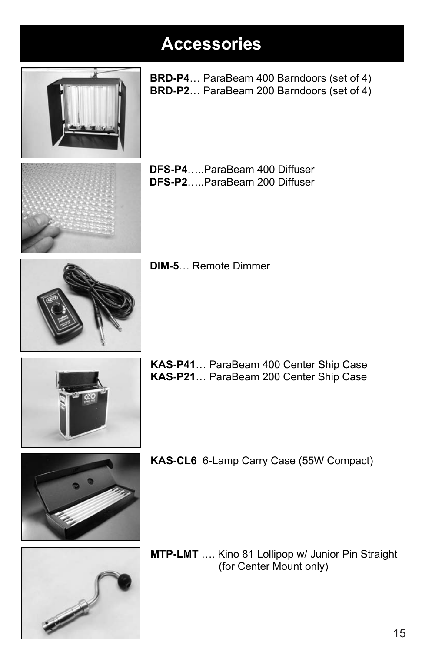## **Accessories Accessories Accessories Accessories**



**BRD-P4**… ParaBeam 400 Barndoors (set of 4) **BRD-P4**… ParaBeam 400 Barndoors (set of 4) **BRD-P4**… ParaBeam 400 Barndoors (set of 4) **BRD-P4**… ParaBeam 400 Barndoors (set of 4) **BRD-P2**… ParaBeam 200 Barndoors (set of 4) **BRD-P2**… ParaBeam 200 Barndoors (set of 4) **BRD-P2**… ParaBeam 200 Barndoors (set of 4) **BRD-P2**… ParaBeam 200 Barndoors (set of 4)

- 
- **DFS-P4**…..ParaBeam 400 Diffuser **DFS-P4**…..ParaBeam 400 Diffuser **DFS-P4**…..ParaBeam 400 Diffuser **DFS-P4**…..ParaBeam 400 Diffuser **DFS-P2**…..ParaBeam 200 Diffuser **DFS-P2**…..ParaBeam 200 Diffuser **DFS-P2**…..ParaBeam 200 Diffuser **DFS-P2**…..ParaBeam 200 Diffuser



**DIM-5**… Remote Dimmer **DIM-5**… Remote Dimmer **DIM-5**… Remote Dimmer **DIM-5**… Remote Dimmer



**KAS-P41**… ParaBeam 400 Center Ship Case **KAS-P41**… ParaBeam 400 Center Ship Case **KAS-P41**… ParaBeam 400 Center Ship Case **KAS-P41**… ParaBeam 400 Center Ship Case **KAS-P21**… ParaBeam 200 Center Ship Case **KAS-P21**… ParaBeam 200 Center Ship Case **KAS-P21**… ParaBeam 200 Center Ship Case **KAS-P21**… ParaBeam 200 Center Ship Case





**KAS-CL6** 6-Lamp Carry Case (55W Compact) **KAS-CL6** 6-Lamp Carry Case (55W Compact) **KAS-CL6** 6-Lamp Carry Case (55W Compact) **KAS-CL6** 6-Lamp Carry Case (55W Compact)

**MTP-LMT** .... Kino 81 Lollipop w/ Junior Pin Straight (for Center Mount only) (for Center Mount only) (for Center Mount only) (for Center Mount only)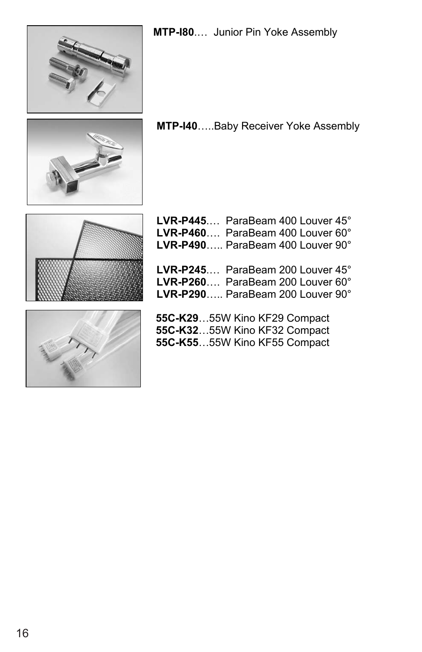





**MTP-I40**.....Baby Receiver Yoke Assembly





| LVR-P445 ParaBeam 400 Louver 45°                                     |
|----------------------------------------------------------------------|
| LVR-P460 ParaBeam 400 Louver 60°                                     |
| LVR-P490 ParaBeam 400 Louver 90°                                     |
|                                                                      |
|                                                                      |
|                                                                      |
| LVR-P245 ParaBeam 200 Louver 45°<br>LVR-P260 ParaBeam 200 Louver 60° |

**LVR-P290**….. ParaBeam 200 Louver 90°

**55C-K29**…55W Kino KF29 Compact **55C-K55**…55W Kino KF55 Compact **55C-K32**…55W Kino KF32 Compact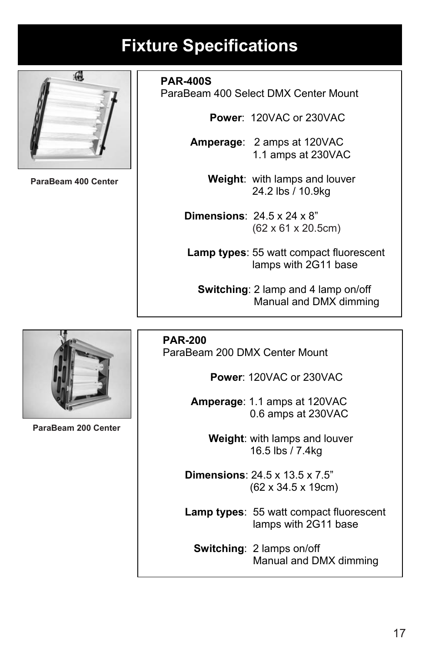# **Fixture Specifications**



**ParaBeam 400S ParaBeam 400 Center**

**PAR-400S** 

ParaBeam 400 Select DMX Center Mount

 **Power**: 120VAC or 230VAC

 **Amperage**: 2 amps at 120VAC 1.1 amps at 230VAC

> **Weight**: with lamps and louver 24.2 lbs / 10.9kg

 **Dimensions**: 24.5 x 24 x 8"  **(**62 x 61 x 20.5cm) (62 20.5cm)

> **Lamp types**: 55 watt compact fluorescent lamps with 2G11 base

 **Switching**: 2 lamp and 4 lamp on/off Manual and DMX dimming

 **PAR-200**  ParaBeam 200 DMX Center Mount

 **Power**: 120VAC or 230VAC

 **Amperage**: 1.1 amps at 120VAC 0.6 amps at 230VAC

> **Weight**: with lamps and louver 16.5 lbs / 7.4kg

 **Dimensions**: 24.5 x 13.5 x 7.5" (62 x 34.5 x 19cm)

 **Lamp types**: 55 watt compact fluorescent lamps with 2G11 base

 **Switching**: 2 lamps on/off Manual and DMX dimming



**ParaBeam 200 ParaBeam 200 Center**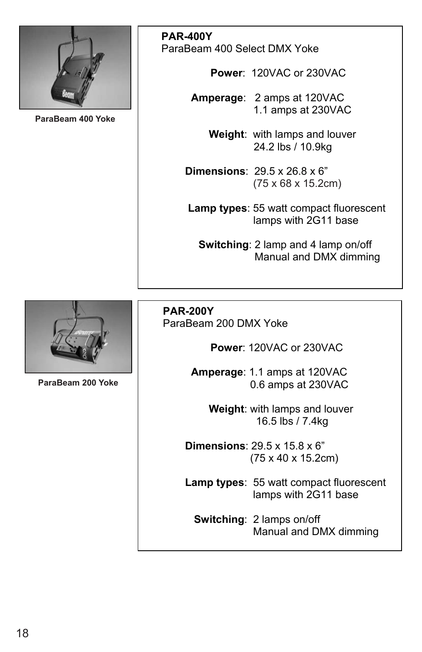

**ParaBeam 400Y ParaBeam 400 Yoke**

**PAR-400Y**  ParaBeam 400 Select DMX Yoke

 **Power**: 120VAC or 230VAC

 **Amperage**: 2 amps at 120VAC 1.1 amps at 230VAC

> **Weight**: with lamps and louver 24.2 lbs / 10.9kg

 **Dimensions**: 29.5 x 26.8 x 6" (75 x 68 x 15.2cm)

> **Lamp types**: 55 watt compact fluorescent lamps with 2G11 base

 **Switching**: 2 lamp and 4 lamp on/off Manual and DMX dimming



**ParaBeam 200Y ParaBeam 200 Yoke**

 **PAR-200Y**  ParaBeam 200 DMX Yoke

 **Power**: 120VAC or 230VAC

 **Amperage**: 1.1 amps at 120VAC 0.6 amps at 230VAC

> **Weight**: with lamps and louver 16.5 lbs / 7.4kg

 **Dimensions**: 29.5 x 15.8 x 6" (75 x 40 x 15.2cm)

 **Lamp types**: 55 watt compact fluorescent lamps with 2G11 base

 **Switching**: 2 lamps on/off Manual and DMX dimming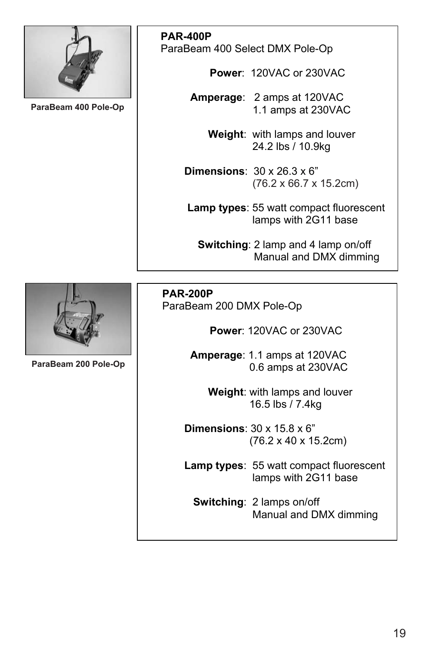

**ParaBeam 400P ParaBeam 400 Pole-Op**

**PAR-400P**  ParaBeam 400 Select DMX Pole-Op

 **Power**: 120VAC or 230VAC

 **Amperage**: 2 amps at 120VAC 1.1 amps at 230VAC

> **Weight**: with lamps and louver 24.2 lbs / 10.9kg

 **Dimensions**: 30 x 26.3 x 6" (76.2 x 66.7 x 15.2cm)

> **Lamp types**: 55 watt compact fluorescent lamps with 2G11 base

 **Switching**: 2 lamp and 4 lamp on/off Manual and DMX dimming

**ParaBeam 200P ParaBeam 200 Pole-Op**

 **PAR-200P**  ParaBeam 200 DMX Pole-Op

 **Power**: 120VAC or 230VAC

 **Amperage**: 1.1 amps at 120VAC 0.6 amps at 230VAC

> **Weight**: with lamps and louver 16.5 lbs / 7.4kg

 **Dimensions**: 30 x 15.8 x 6" (76.2 x 40 x 15.2cm)

 **Lamp types**: 55 watt compact fluorescent lamps with 2G11 base

 **Switching**: 2 lamps on/off Manual and DMX dimming